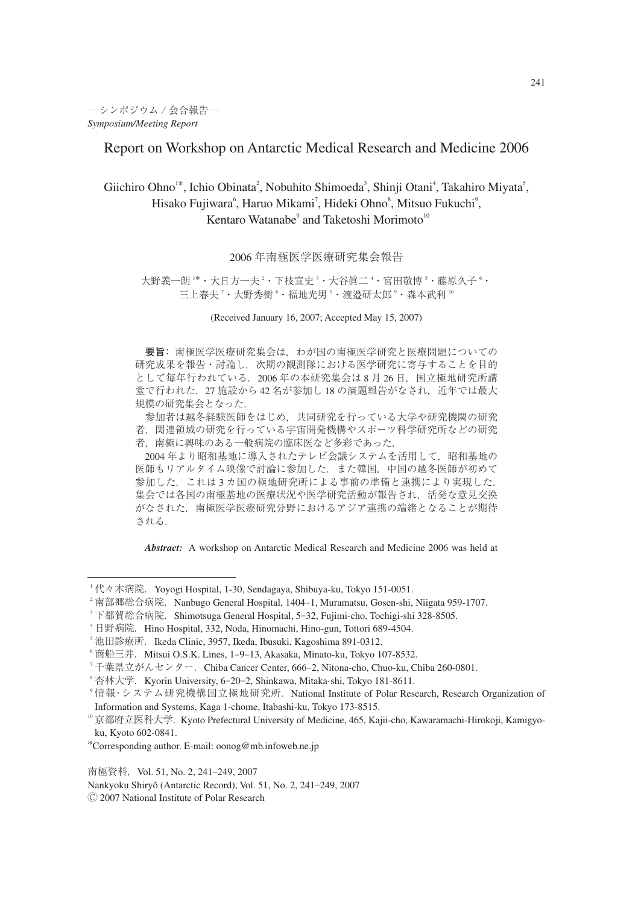### Report on Workshop on Antarctic Medical Research and Medicine 2006

# Giichiro Ohno<sup>1\*</sup>, Ichio Obinata<sup>2</sup>, Nobuhito Shimoeda<sup>3</sup>, Shinji Otani<sup>4</sup>, Takahiro Miyata<sup>5</sup>, Hisako Fujiwara<sup>6</sup>, Haruo Mikami<sup>7</sup>, Hideki Ohno<sup>8</sup>, Mitsuo Fukuchi<sup>9</sup>, Kentaro Watanabe<sup>9</sup> and Taketoshi Morimoto<sup>10</sup>

### 2006 年南極医学医療研究集会報告

### 大野義一朗 '\*・大日方一夫 - 下枝宣史 '・大谷眞二 '・宮田敬博 '・藤原久子 '・ 三上春夫 '・大野秀樹 \*・福地光男 °・渡邉研太郎 °・森本武利 ''

(Received January 16, 2007; Accepted May 15, 2007)

**要旨:** 南極医学医療研究集会は,わが国の南極医学研究と医療問題についての 研究成果を報告・討論し,次期の観測隊における医学研究に寄与することを目的 として毎年行われている. 2006年の本研究集会は 8月 26日,国立極地研究所講 堂で行われた. 27 施設から 42 名が参加し 18 の演題報告がなされ、近年では最大 規模の研究集会となった.

参加者は越冬経験医師をはじめ,共同研究を行っている大学や研究機関の研究 者,関連領域の研究を行っている宇宙開発機構やスポーツ科学研究所などの研究 者,南極に興味のある一般病院の臨床医など多彩であった.

2004 年より昭和基地に導入されたテレビ会議システムを活用して,昭和基地の 医師もリアルタイム映像で討論に参加した.また韓国,中国の越冬医師が初めて 参加した.これは 3 カ国の極地研究所による事前の準備と連携により実現した. 集会では各国の南極基地の医療状況や医学研究活動が報告され、活発な意見交換 がなされた.南極医学医療研究分野におけるアジア連携の端緒となることが期待 される.

*Abstract:* A workshop on Antarctic Medical Research and Medicine 2006 was held at

南極資料, Vol. 51, No. 2, 241-249, 2007

Nankyoku Shiryô (Antarctic Record), Vol. 51, No. 2, 241-249, 2007

<sup>&</sup>lt;sup>1</sup> 代々木病院. Yoyogi Hospital, 1-30, Sendagaya, Shibuya-ku, Tokyo 151-0051.

 $^{\circ}$  南部郷総合病院. Nanbugo General Hospital, 1404–1, Muramatsu, Gosen-shi, Niigata 959-1707.

<sup>&</sup>lt;sup>3</sup> 下都賀総合病院. Shimotsuga General Hospital, 5–32, Fujimi-cho, Tochigi-shi 328-8505.

<sup>4</sup> 日野病院.Hino Hospital, 332, Noda, Hinomachi, Hino-gun, Tottori 689-4504.

<sup>5</sup> 池田診療所.Ikeda Clinic, 3957, Ikeda, Ibusuki, Kagoshima 891-0312.

 $\,^{\circ}$  商船三井.Mitsui O.S.K. Lines, 1-9-13, Akasaka, Minato-ku, Tokyo 107-8532.

<sup>7</sup> 千葉県立がんセンター.Chiba Cancer Center, 666-2, Nitona-cho, Chuo-ku, Chiba 260-0801.

 $^{\circ}$ 杏林大学. Kyorin University, 6–20–2, Shinkawa, Mitaka-shi, Tokyo 181-8611.

<sup>&</sup>lt;sup>9</sup>情報・システム研究機構国立極地研究所. National Institute of Polar Research, Research Organization of Information and Systems, Kaga 1-chome, Itabashi-ku, Tokyo 173-8515.

<sup>&</sup>lt;sup>10</sup>京都府立医科大学. Kyoto Prefectural University of Medicine, 465, Kajii-cho, Kawaramachi-Hirokoji, Kamigyoku, Kyoto 602-0841.

<sup>\*</sup>Corresponding author. E-mail: oonog@mb.infoweb.ne.jp

<sup>Ⓒ</sup> 2007 National Institute of Polar Research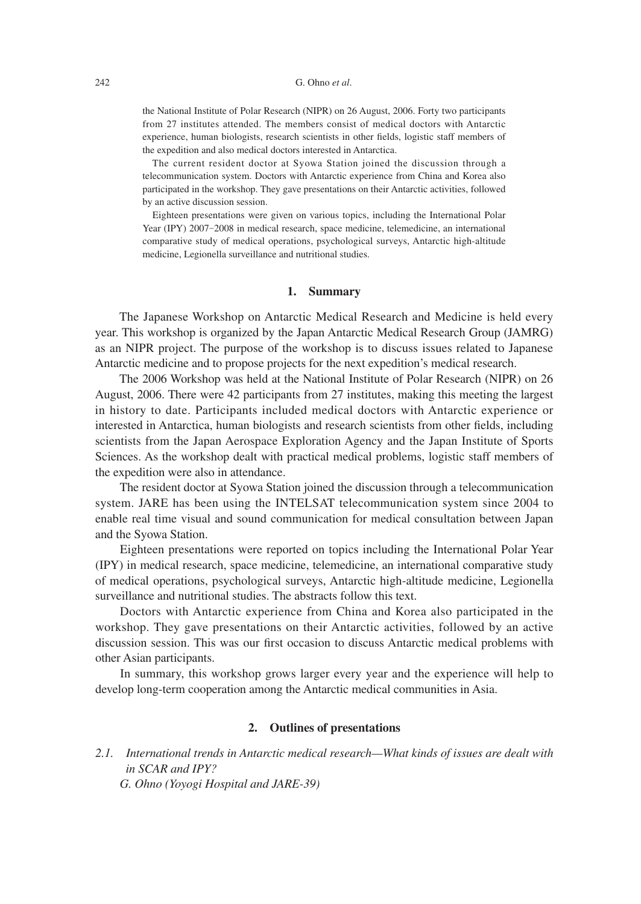#### 242 G. Ohno *et al*.

the National Institute of Polar Research (NIPR) on 26 August, 2006. Forty two participants from 27 institutes attended. The members consist of medical doctors with Antarctic experience, human biologists, research scientists in other fields, logistic staff members of the expedition and also medical doctors interested in Antarctica.

The current resident doctor at Syowa Station joined the discussion through a telecommunication system. Doctors with Antarctic experience from China and Korea also participated in the workshop. They gave presentations on their Antarctic activities, followed by an active discussion session.

Eighteen presentations were given on various topics, including the International Polar Year (IPY) 2007-2008 in medical research, space medicine, telemedicine, an international comparative study of medical operations, psychological surveys, Antarctic high-altitude medicine, Legionella surveillance and nutritional studies.

#### **1. Summary**

 The Japanese Workshop on Antarctic Medical Research and Medicine is held every year. This workshop is organized by the Japan Antarctic Medical Research Group (JAMRG) as an NIPR project. The purpose of the workshop is to discuss issues related to Japanese Antarctic medicine and to propose projects for the next expedition's medical research.

 The 2006 Workshop was held at the National Institute of Polar Research (NIPR) on 26 August, 2006. There were 42 participants from 27 institutes, making this meeting the largest in history to date. Participants included medical doctors with Antarctic experience or interested in Antarctica, human biologists and research scientists from other fields, including scientists from the Japan Aerospace Exploration Agency and the Japan Institute of Sports Sciences. As the workshop dealt with practical medical problems, logistic staff members of the expedition were also in attendance.

 The resident doctor at Syowa Station joined the discussion through a telecommunication system. JARE has been using the INTELSAT telecommunication system since 2004 to enable real time visual and sound communication for medical consultation between Japan and the Syowa Station.

 Eighteen presentations were reported on topics including the International Polar Year (IPY) in medical research, space medicine, telemedicine, an international comparative study of medical operations, psychological surveys, Antarctic high-altitude medicine, Legionella surveillance and nutritional studies. The abstracts follow this text.

 Doctors with Antarctic experience from China and Korea also participated in the workshop. They gave presentations on their Antarctic activities, followed by an active discussion session. This was our first occasion to discuss Antarctic medical problems with other Asian participants.

 In summary, this workshop grows larger every year and the experience will help to develop long-term cooperation among the Antarctic medical communities in Asia.

### **2. Outlines of presentations**

*2.1. International trends in Antarctic medical research—What kinds of issues are dealt with in SCAR and IPY? G. Ohno (Yoyogi Hospital and JARE-39)*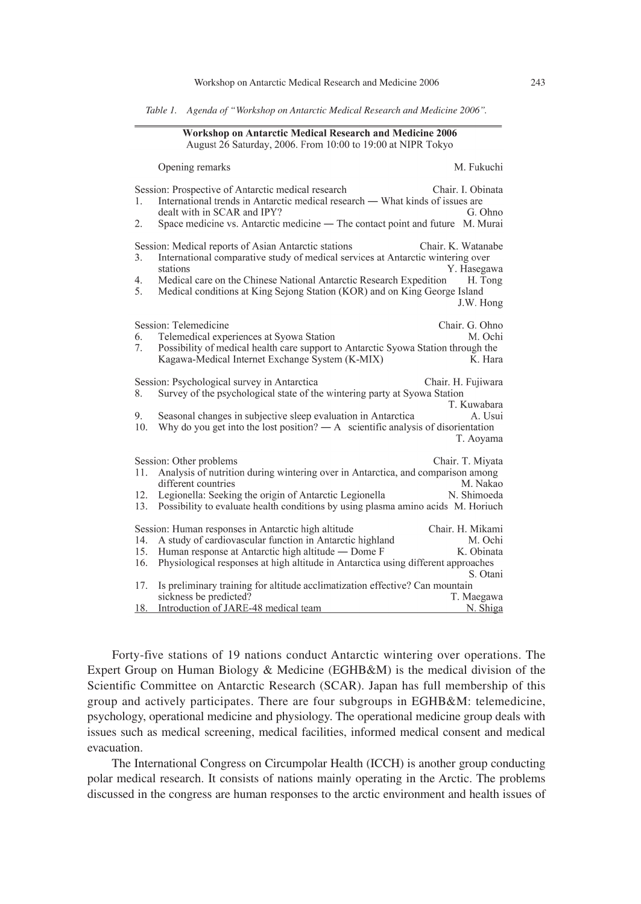| Table 1. Agenda of "Workshop on Antarctic Medical Research and Medicine 2006". |  |  |  |  |  |  |  |  |  |
|--------------------------------------------------------------------------------|--|--|--|--|--|--|--|--|--|
|--------------------------------------------------------------------------------|--|--|--|--|--|--|--|--|--|

 $O(1)$ 

#### **Workshop on Antarctic Medical Research and Medicine 2006** August 26 Saturday, 2006. From 10:00 to 19:00 at NIPR Tokyo

| Session: Prospective of Antarctic medical research<br>Chair. I. Obinata<br>International trends in Antarctic medical research — What kinds of issues are<br>1.<br>dealt with in SCAR and IPY?<br>G. Ohno<br>Space medicine vs. Antarctic medicine — The contact point and future<br>M. Murai<br>2.<br>Session: Medical reports of Asian Antarctic stations<br>Chair. K. Watanabe<br>International comparative study of medical services at Antarctic wintering over<br>3.<br>stations<br>Y. Hasegawa<br>Medical care on the Chinese National Antarctic Research Expedition<br>4.<br>H. Tong<br>5.<br>Medical conditions at King Sejong Station (KOR) and on King George Island<br>J.W. Hong<br>Session: Telemedicine<br>Chair. G. Ohno<br>Telemedical experiences at Syowa Station<br>M. Ochi<br>6.<br>7.<br>Possibility of medical health care support to Antarctic Syowa Station through the<br>Kagawa-Medical Internet Exchange System (K-MIX)<br>K. Hara<br>Session: Psychological survey in Antarctica<br>Chair. H. Fujiwara<br>Survey of the psychological state of the wintering party at Syowa Station<br>8.<br>T. Kuwabara<br>Seasonal changes in subjective sleep evaluation in Antarctica<br>A. Usui<br>9.<br>Why do you get into the lost position? $\overline{A}$ scientific analysis of disorientation<br>10.<br>T. Aoyama<br>Session: Other problems<br>Chair. T. Miyata<br>Analysis of nutrition during wintering over in Antarctica, and comparison among<br>11.<br>M. Nakao<br>different countries<br>12.<br>Legionella: Seeking the origin of Antarctic Legionella<br>N. Shimoeda<br>Possibility to evaluate health conditions by using plasma amino acids M. Horiuch<br>13.<br>Session: Human responses in Antarctic high altitude<br>Chair. H. Mikami<br>14.<br>A study of cardiovascular function in Antarctic highland<br>M. Ochi<br>15.<br>Human response at Antarctic high altitude - Dome F<br>K. Obinata<br>16.<br>Physiological responses at high altitude in Antarctica using different approaches<br>S. Otani |     | Opening remarks                                                              | IVI. FUKUCIII |
|---------------------------------------------------------------------------------------------------------------------------------------------------------------------------------------------------------------------------------------------------------------------------------------------------------------------------------------------------------------------------------------------------------------------------------------------------------------------------------------------------------------------------------------------------------------------------------------------------------------------------------------------------------------------------------------------------------------------------------------------------------------------------------------------------------------------------------------------------------------------------------------------------------------------------------------------------------------------------------------------------------------------------------------------------------------------------------------------------------------------------------------------------------------------------------------------------------------------------------------------------------------------------------------------------------------------------------------------------------------------------------------------------------------------------------------------------------------------------------------------------------------------------------------------------------------------------------------------------------------------------------------------------------------------------------------------------------------------------------------------------------------------------------------------------------------------------------------------------------------------------------------------------------------------------------------------------------------------------------------------------------------------------------------------|-----|------------------------------------------------------------------------------|---------------|
|                                                                                                                                                                                                                                                                                                                                                                                                                                                                                                                                                                                                                                                                                                                                                                                                                                                                                                                                                                                                                                                                                                                                                                                                                                                                                                                                                                                                                                                                                                                                                                                                                                                                                                                                                                                                                                                                                                                                                                                                                                             |     |                                                                              |               |
|                                                                                                                                                                                                                                                                                                                                                                                                                                                                                                                                                                                                                                                                                                                                                                                                                                                                                                                                                                                                                                                                                                                                                                                                                                                                                                                                                                                                                                                                                                                                                                                                                                                                                                                                                                                                                                                                                                                                                                                                                                             |     |                                                                              |               |
|                                                                                                                                                                                                                                                                                                                                                                                                                                                                                                                                                                                                                                                                                                                                                                                                                                                                                                                                                                                                                                                                                                                                                                                                                                                                                                                                                                                                                                                                                                                                                                                                                                                                                                                                                                                                                                                                                                                                                                                                                                             |     |                                                                              |               |
|                                                                                                                                                                                                                                                                                                                                                                                                                                                                                                                                                                                                                                                                                                                                                                                                                                                                                                                                                                                                                                                                                                                                                                                                                                                                                                                                                                                                                                                                                                                                                                                                                                                                                                                                                                                                                                                                                                                                                                                                                                             |     |                                                                              |               |
|                                                                                                                                                                                                                                                                                                                                                                                                                                                                                                                                                                                                                                                                                                                                                                                                                                                                                                                                                                                                                                                                                                                                                                                                                                                                                                                                                                                                                                                                                                                                                                                                                                                                                                                                                                                                                                                                                                                                                                                                                                             |     |                                                                              |               |
| sickness be predicted?<br>T. Maegawa<br>Introduction of JARE-48 medical team<br>18.<br>N. Shiga                                                                                                                                                                                                                                                                                                                                                                                                                                                                                                                                                                                                                                                                                                                                                                                                                                                                                                                                                                                                                                                                                                                                                                                                                                                                                                                                                                                                                                                                                                                                                                                                                                                                                                                                                                                                                                                                                                                                             | 17. | Is preliminary training for altitude acclimatization effective? Can mountain |               |

 Forty-five stations of 19 nations conduct Antarctic wintering over operations. The Expert Group on Human Biology & Medicine (EGHB&M) is the medical division of the Scientific Committee on Antarctic Research (SCAR). Japan has full membership of this group and actively participates. There are four subgroups in EGHB&M: telemedicine, psychology, operational medicine and physiology. The operational medicine group deals with issues such as medical screening, medical facilities, informed medical consent and medical evacuation.

 The International Congress on Circumpolar Health (ICCH) is another group conducting polar medical research. It consists of nations mainly operating in the Arctic. The problems discussed in the congress are human responses to the arctic environment and health issues of

 $M$  Eulorabi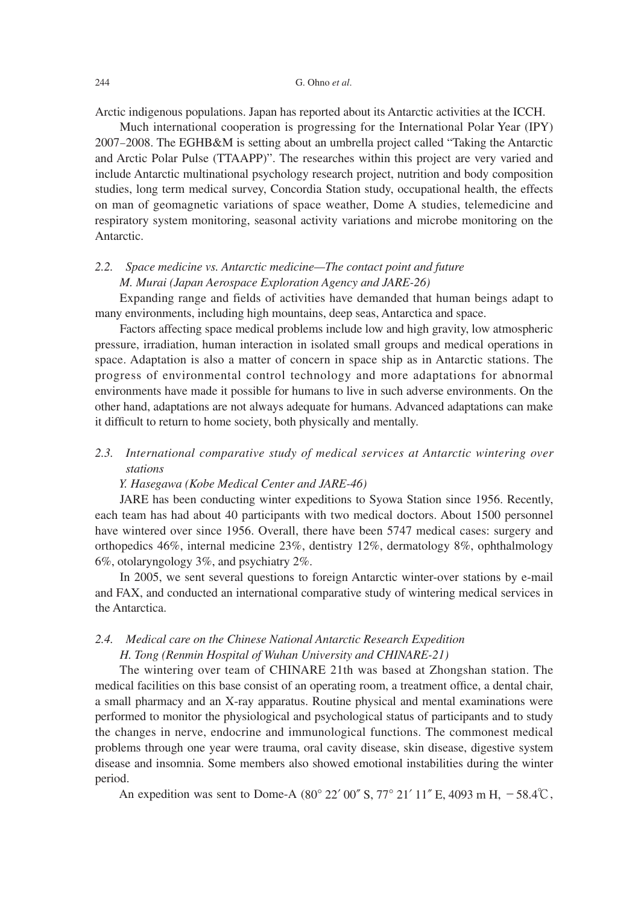Arctic indigenous populations. Japan has reported about its Antarctic activities at the ICCH.

 Much international cooperation is progressing for the International Polar Year (IPY) 2007-2008. The EGHB&M is setting about an umbrella project called "Taking the Antarctic and Arctic Polar Pulse (TTAAPP)". The researches within this project are very varied and include Antarctic multinational psychology research project, nutrition and body composition studies, long term medical survey, Concordia Station study, occupational health, the effects on man of geomagnetic variations of space weather, Dome A studies, telemedicine and respiratory system monitoring, seasonal activity variations and microbe monitoring on the Antarctic.

# *2.2. Space medicine vs. Antarctic medicine—The contact point and future M. Murai (Japan Aerospace Exploration Agency and JARE-26)*

 Expanding range and fields of activities have demanded that human beings adapt to many environments, including high mountains, deep seas, Antarctica and space.

 Factors affecting space medical problems include low and high gravity, low atmospheric pressure, irradiation, human interaction in isolated small groups and medical operations in space. Adaptation is also a matter of concern in space ship as in Antarctic stations. The progress of environmental control technology and more adaptations for abnormal environments have made it possible for humans to live in such adverse environments. On the other hand, adaptations are not always adequate for humans. Advanced adaptations can make it difficult to return to home society, both physically and mentally.

## *2.3. International comparative study of medical services at Antarctic wintering over stations*

### *Y. Hasegawa (Kobe Medical Center and JARE-46)*

 JARE has been conducting winter expeditions to Syowa Station since 1956. Recently, each team has had about 40 participants with two medical doctors. About 1500 personnel have wintered over since 1956. Overall, there have been 5747 medical cases: surgery and orthopedics 46%, internal medicine 23%, dentistry 12%, dermatology 8%, ophthalmology 6%, otolaryngology 3%, and psychiatry 2%.

 In 2005, we sent several questions to foreign Antarctic winter-over stations by e-mail and FAX, and conducted an international comparative study of wintering medical services in the Antarctica.

## *2.4. Medical care on the Chinese National Antarctic Research Expedition H. Tong (Renmin Hospital of Wuhan University and CHINARE-21)*

 The wintering over team of CHINARE 21th was based at Zhongshan station. The medical facilities on this base consist of an operating room, a treatment office, a dental chair, a small pharmacy and an X-ray apparatus. Routine physical and mental examinations were performed to monitor the physiological and psychological status of participants and to study the changes in nerve, endocrine and immunological functions. The commonest medical problems through one year were trauma, oral cavity disease, skin disease, digestive system disease and insomnia. Some members also showed emotional instabilities during the winter period.

An expedition was sent to Dome-A (80 $^{\circ}$  22' 00" S, 77 $^{\circ}$  21' 11" E, 4093 m H,  $-58.4^{\circ}$ C,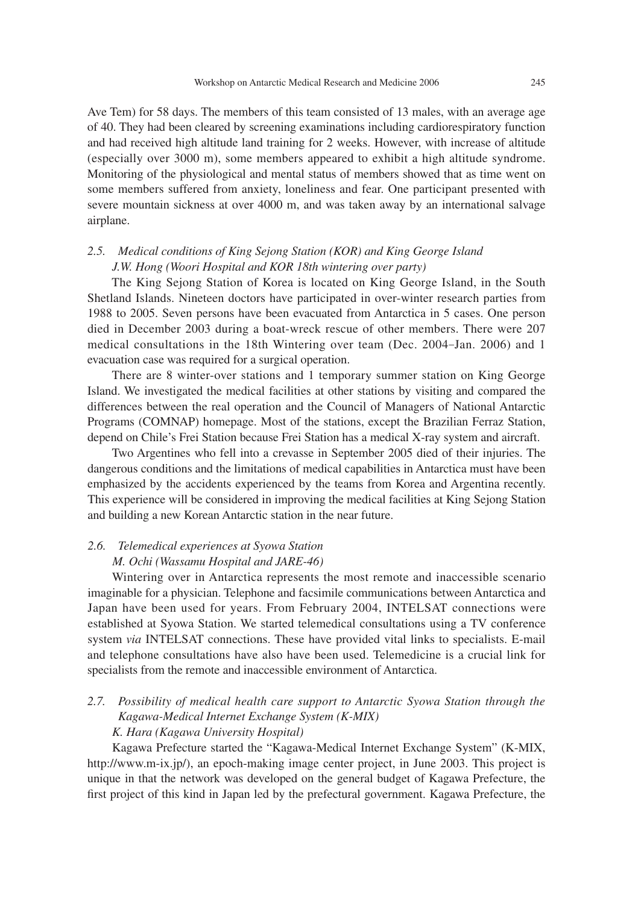Ave Tem) for 58 days. The members of this team consisted of 13 males, with an average age of 40. They had been cleared by screening examinations including cardiorespiratory function and had received high altitude land training for 2 weeks. However, with increase of altitude (especially over 3000 m), some members appeared to exhibit a high altitude syndrome. Monitoring of the physiological and mental status of members showed that as time went on some members suffered from anxiety, loneliness and fear. One participant presented with severe mountain sickness at over 4000 m, and was taken away by an international salvage airplane.

# *2.5. Medical conditions of King Sejong Station (KOR) and King George Island J.W. Hong (Woori Hospital and KOR 18th wintering over party)*

 The King Sejong Station of Korea is located on King George Island, in the South Shetland Islands. Nineteen doctors have participated in over-winter research parties from 1988 to 2005. Seven persons have been evacuated from Antarctica in 5 cases. One person died in December 2003 during a boat-wreck rescue of other members. There were 207 medical consultations in the 18th Wintering over team (Dec. 2004-Jan. 2006) and 1 evacuation case was required for a surgical operation.

 There are 8 winter-over stations and 1 temporary summer station on King George Island. We investigated the medical facilities at other stations by visiting and compared the differences between the real operation and the Council of Managers of National Antarctic Programs (COMNAP) homepage. Most of the stations, except the Brazilian Ferraz Station, depend on Chile's Frei Station because Frei Station has a medical X-ray system and aircraft.

 Two Argentines who fell into a crevasse in September 2005 died of their injuries. The dangerous conditions and the limitations of medical capabilities in Antarctica must have been emphasized by the accidents experienced by the teams from Korea and Argentina recently. This experience will be considered in improving the medical facilities at King Sejong Station and building a new Korean Antarctic station in the near future.

# *2.6. Telemedical experiences at Syowa Station M. Ochi (Wassamu Hospital and JARE-46)*

 Wintering over in Antarctica represents the most remote and inaccessible scenario imaginable for a physician. Telephone and facsimile communications between Antarctica and Japan have been used for years. From February 2004, INTELSAT connections were established at Syowa Station. We started telemedical consultations using a TV conference system *via* INTELSAT connections. These have provided vital links to specialists. E-mail and telephone consultations have also have been used. Telemedicine is a crucial link for specialists from the remote and inaccessible environment of Antarctica.

# *2.7. Possibility of medical health care support to Antarctic Syowa Station through the Kagawa-Medical Internet Exchange System (K-MIX)*

### *K. Hara (Kagawa University Hospital)*

 Kagawa Prefecture started the "Kagawa-Medical Internet Exchange System" (K-MIX, http://www.m-ix.jp/), an epoch-making image center project, in June 2003. This project is unique in that the network was developed on the general budget of Kagawa Prefecture, the first project of this kind in Japan led by the prefectural government. Kagawa Prefecture, the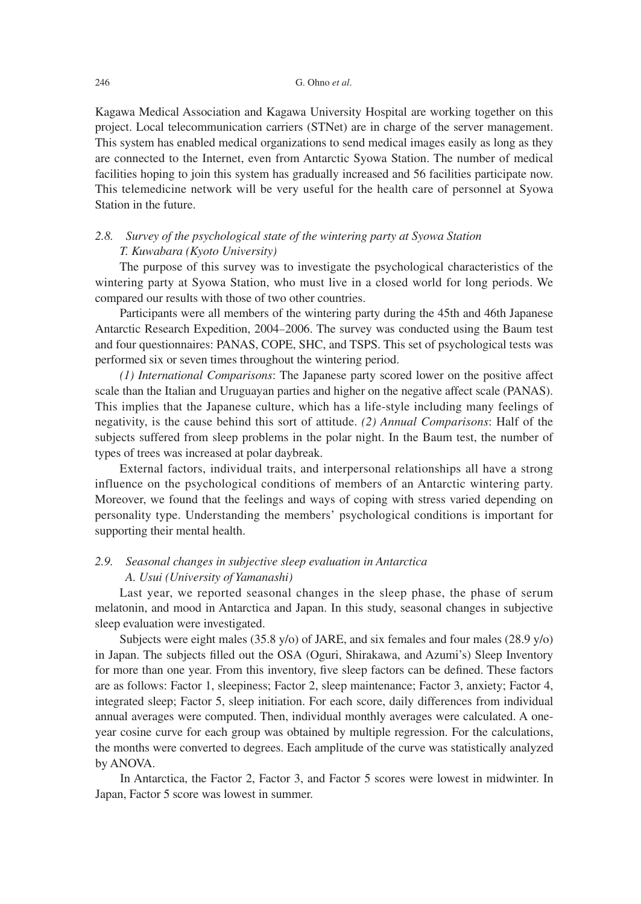### 246 G. Ohno *et al*.

Kagawa Medical Association and Kagawa University Hospital are working together on this project. Local telecommunication carriers (STNet) are in charge of the server management. This system has enabled medical organizations to send medical images easily as long as they are connected to the Internet, even from Antarctic Syowa Station. The number of medical facilities hoping to join this system has gradually increased and 56 facilities participate now. This telemedicine network will be very useful for the health care of personnel at Syowa Station in the future.

## *2.8. Survey of the psychological state of the wintering party at Syowa Station T. Kuwabara (Kyoto University)*

 The purpose of this survey was to investigate the psychological characteristics of the wintering party at Syowa Station, who must live in a closed world for long periods. We compared our results with those of two other countries.

 Participants were all members of the wintering party during the 45th and 46th Japanese Antarctic Research Expedition, 2004-2006. The survey was conducted using the Baum test and four questionnaires: PANAS, COPE, SHC, and TSPS. This set of psychological tests was performed six or seven times throughout the wintering period.

 *(1) International Comparisons*: The Japanese party scored lower on the positive affect scale than the Italian and Uruguayan parties and higher on the negative affect scale (PANAS). This implies that the Japanese culture, which has a life-style including many feelings of negativity, is the cause behind this sort of attitude. *(2) Annual Comparisons*: Half of the subjects suffered from sleep problems in the polar night. In the Baum test, the number of types of trees was increased at polar daybreak.

 External factors, individual traits, and interpersonal relationships all have a strong influence on the psychological conditions of members of an Antarctic wintering party. Moreover, we found that the feelings and ways of coping with stress varied depending on personality type. Understanding the members' psychological conditions is important for supporting their mental health.

## *2.9. Seasonal changes in subjective sleep evaluation in Antarctica A. Usui (University of Yamanashi)*

 Last year, we reported seasonal changes in the sleep phase, the phase of serum melatonin, and mood in Antarctica and Japan. In this study, seasonal changes in subjective sleep evaluation were investigated.

 Subjects were eight males (35.8 y/o) of JARE, and six females and four males (28.9 y/o) in Japan. The subjects filled out the OSA (Oguri, Shirakawa, and Azumi's) Sleep Inventory for more than one year. From this inventory, five sleep factors can be defined. These factors are as follows: Factor 1, sleepiness; Factor 2, sleep maintenance; Factor 3, anxiety; Factor 4, integrated sleep; Factor 5, sleep initiation. For each score, daily differences from individual annual averages were computed. Then, individual monthly averages were calculated. A oneyear cosine curve for each group was obtained by multiple regression. For the calculations, the months were converted to degrees. Each amplitude of the curve was statistically analyzed by ANOVA.

 In Antarctica, the Factor 2, Factor 3, and Factor 5 scores were lowest in midwinter. In Japan, Factor 5 score was lowest in summer.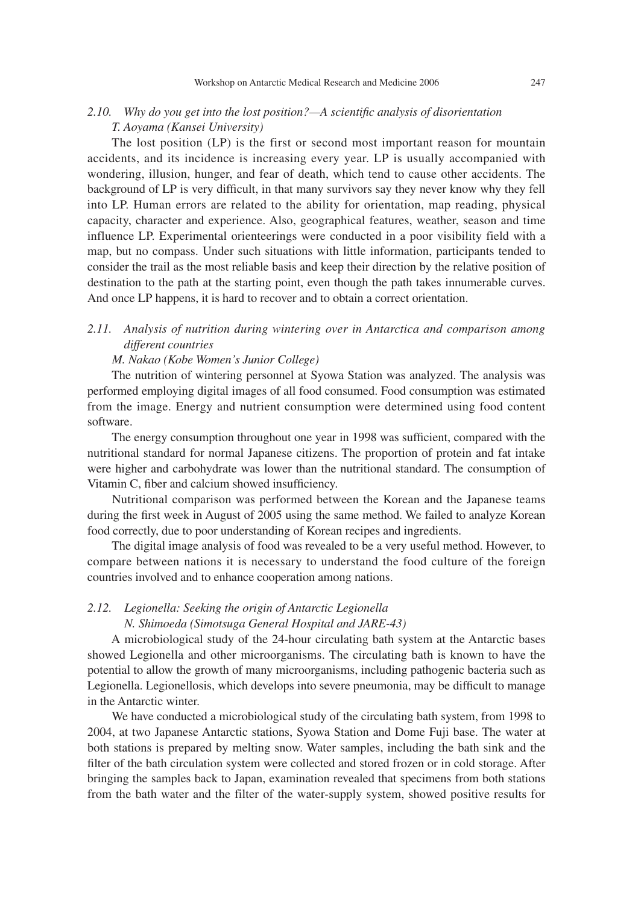### *2.10. Why do you get into the lost position?—A scientific analysis of disorientation T. Aoyama (Kansei University)*

 The lost position (LP) is the first or second most important reason for mountain accidents, and its incidence is increasing every year. LP is usually accompanied with wondering, illusion, hunger, and fear of death, which tend to cause other accidents. The background of LP is very difficult, in that many survivors say they never know why they fell into LP. Human errors are related to the ability for orientation, map reading, physical capacity, character and experience. Also, geographical features, weather, season and time influence LP. Experimental orienteerings were conducted in a poor visibility field with a map, but no compass. Under such situations with little information, participants tended to consider the trail as the most reliable basis and keep their direction by the relative position of destination to the path at the starting point, even though the path takes innumerable curves. And once LP happens, it is hard to recover and to obtain a correct orientation.

### *2.11. Analysis of nutrition during wintering over in Antarctica and comparison among different countries*

#### *M. Nakao (Kobe Women's Junior College)*

 The nutrition of wintering personnel at Syowa Station was analyzed. The analysis was performed employing digital images of all food consumed. Food consumption was estimated from the image. Energy and nutrient consumption were determined using food content software.

 The energy consumption throughout one year in 1998 was sufficient, compared with the nutritional standard for normal Japanese citizens. The proportion of protein and fat intake were higher and carbohydrate was lower than the nutritional standard. The consumption of Vitamin C, fiber and calcium showed insufficiency.

 Nutritional comparison was performed between the Korean and the Japanese teams during the first week in August of 2005 using the same method. We failed to analyze Korean food correctly, due to poor understanding of Korean recipes and ingredients.

 The digital image analysis of food was revealed to be a very useful method. However, to compare between nations it is necessary to understand the food culture of the foreign countries involved and to enhance cooperation among nations.

### *2.12. Legionella: Seeking the origin of Antarctic Legionella*

### *N. Shimoeda (Simotsuga General Hospital and JARE-43)*

 A microbiological study of the 24-hour circulating bath system at the Antarctic bases showed Legionella and other microorganisms. The circulating bath is known to have the potential to allow the growth of many microorganisms, including pathogenic bacteria such as Legionella. Legionellosis, which develops into severe pneumonia, may be difficult to manage in the Antarctic winter.

 We have conducted a microbiological study of the circulating bath system, from 1998 to 2004, at two Japanese Antarctic stations, Syowa Station and Dome Fuji base. The water at both stations is prepared by melting snow. Water samples, including the bath sink and the filter of the bath circulation system were collected and stored frozen or in cold storage. After bringing the samples back to Japan, examination revealed that specimens from both stations from the bath water and the filter of the water-supply system, showed positive results for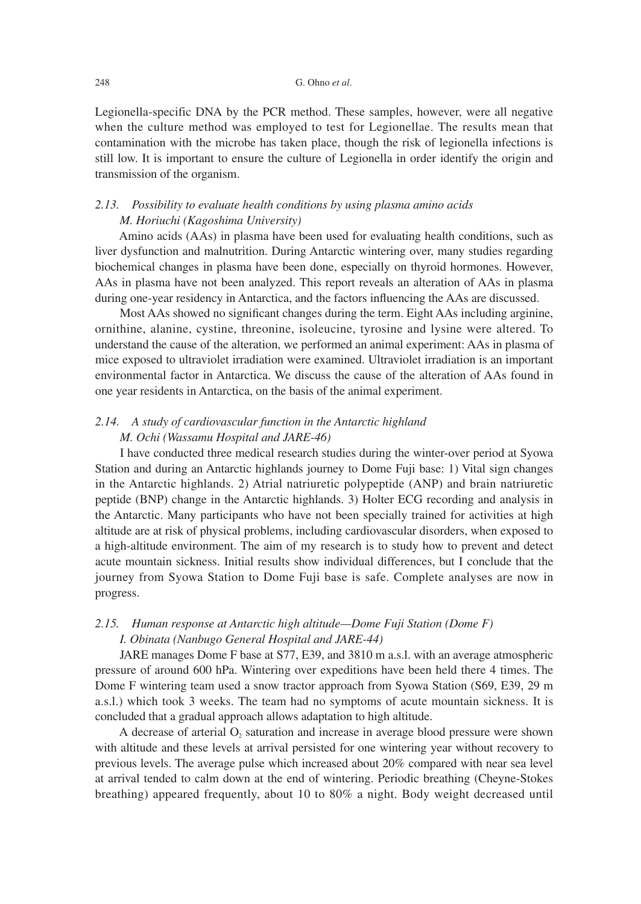#### 248 G. Ohno *et al*.

Legionella-specific DNA by the PCR method. These samples, however, were all negative when the culture method was employed to test for Legionellae. The results mean that contamination with the microbe has taken place, though the risk of legionella infections is still low. It is important to ensure the culture of Legionella in order identify the origin and transmission of the organism.

### *2.13. Possibility to evaluate health conditions by using plasma amino acids M. Horiuchi (Kagoshima University)*

 Amino acids (AAs) in plasma have been used for evaluating health conditions, such as liver dysfunction and malnutrition. During Antarctic wintering over, many studies regarding biochemical changes in plasma have been done, especially on thyroid hormones. However, AAs in plasma have not been analyzed. This report reveals an alteration of AAs in plasma during one-year residency in Antarctica, and the factors influencing the AAs are discussed.

 Most AAs showed no significant changes during the term. Eight AAs including arginine, ornithine, alanine, cystine, threonine, isoleucine, tyrosine and lysine were altered. To understand the cause of the alteration, we performed an animal experiment: AAs in plasma of mice exposed to ultraviolet irradiation were examined. Ultraviolet irradiation is an important environmental factor in Antarctica. We discuss the cause of the alteration of AAs found in one year residents in Antarctica, on the basis of the animal experiment.

## *2.14. A study of cardiovascular function in the Antarctic highland M. Ochi (Wassamu Hospital and JARE-46)*

 I have conducted three medical research studies during the winter-over period at Syowa Station and during an Antarctic highlands journey to Dome Fuji base: 1) Vital sign changes in the Antarctic highlands. 2) Atrial natriuretic polypeptide (ANP) and brain natriuretic peptide (BNP) change in the Antarctic highlands. 3) Holter ECG recording and analysis in the Antarctic. Many participants who have not been specially trained for activities at high altitude are at risk of physical problems, including cardiovascular disorders, when exposed to a high-altitude environment. The aim of my research is to study how to prevent and detect acute mountain sickness. Initial results show individual differences, but I conclude that the journey from Syowa Station to Dome Fuji base is safe. Complete analyses are now in progress.

## *2.15. Human response at Antarctic high altitude—Dome Fuji Station (Dome F) I. Obinata (Nanbugo General Hospital and JARE-44)*

 JARE manages Dome F base at S77, E39, and 3810 m a.s.l. with an average atmospheric pressure of around 600 hPa. Wintering over expeditions have been held there 4 times. The Dome F wintering team used a snow tractor approach from Syowa Station (S69, E39, 29 m a.s.l.) which took 3 weeks. The team had no symptoms of acute mountain sickness. It is concluded that a gradual approach allows adaptation to high altitude.

A decrease of arterial  $O<sub>2</sub>$  saturation and increase in average blood pressure were shown with altitude and these levels at arrival persisted for one wintering year without recovery to previous levels. The average pulse which increased about 20% compared with near sea level at arrival tended to calm down at the end of wintering. Periodic breathing (Cheyne-Stokes breathing) appeared frequently, about 10 to 80% a night. Body weight decreased until